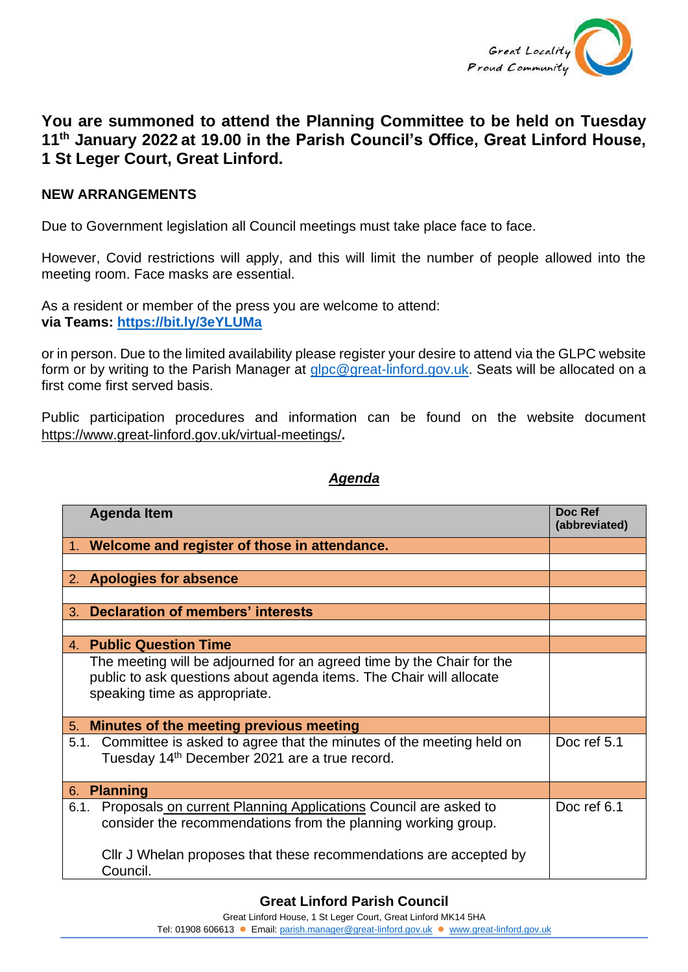

## **You are summoned to attend the Planning Committee to be held on Tuesday 11th January 2022 at 19.00 in the Parish Council's Office, Great Linford House, 1 St Leger Court, Great Linford.**

## **NEW ARRANGEMENTS**

Due to Government legislation all Council meetings must take place face to face.

However, Covid restrictions will apply, and this will limit the number of people allowed into the meeting room. Face masks are essential.

As a resident or member of the press you are welcome to attend: **via Teams: <https://bit.ly/3eYLUMa>**

or in person. Due to the limited availability please register your desire to attend via the GLPC website form or by writing to the Parish Manager at [glpc@great-linford.gov.uk.](mailto:glpc@great-linford.gov.uk) Seats will be allocated on a first come first served basis.

Public participation procedures and information can be found on the website document <https://www.great-linford.gov.uk/virtual-meetings/>**.**

## *Agenda*

| <b>Agenda Item</b>                                                                                                                                                            | Doc Ref<br>(abbreviated) |
|-------------------------------------------------------------------------------------------------------------------------------------------------------------------------------|--------------------------|
| 1. Welcome and register of those in attendance.                                                                                                                               |                          |
|                                                                                                                                                                               |                          |
| 2. Apologies for absence                                                                                                                                                      |                          |
|                                                                                                                                                                               |                          |
| <b>Declaration of members' interests</b><br>3.                                                                                                                                |                          |
|                                                                                                                                                                               |                          |
| 4. Public Question Time                                                                                                                                                       |                          |
| The meeting will be adjourned for an agreed time by the Chair for the<br>public to ask questions about agenda items. The Chair will allocate<br>speaking time as appropriate. |                          |
| 5. Minutes of the meeting previous meeting                                                                                                                                    |                          |
| 5.1. Committee is asked to agree that the minutes of the meeting held on<br>Tuesday 14 <sup>th</sup> December 2021 are a true record.                                         | Doc ref 5.1              |
| <b>Planning</b><br>6.                                                                                                                                                         |                          |
| Proposals on current Planning Applications Council are asked to<br>6.1.<br>consider the recommendations from the planning working group.                                      | Doc ref 6.1              |
| Cllr J Whelan proposes that these recommendations are accepted by<br>Council.                                                                                                 |                          |